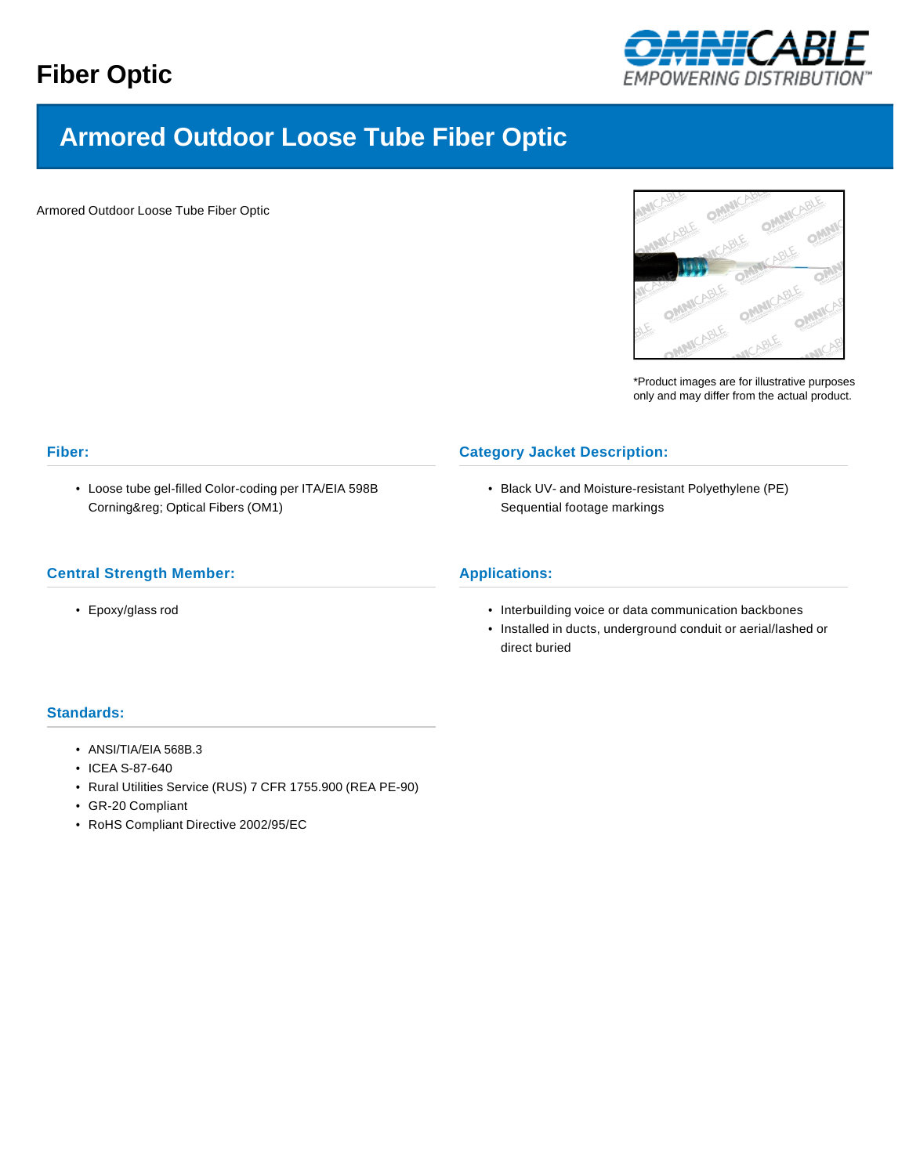

# **Armored Outdoor Loose Tube Fiber Optic**

Armored Outdoor Loose Tube Fiber Optic



\*Product images are for illustrative purposes only and may differ from the actual product.

# **Fiber:**

• Loose tube gel-filled Color-coding per ITA/EIA 598B Corning® Optical Fibers (OM1)

# **Central Strength Member:**

• Epoxy/glass rod

# **Category Jacket Description:**

• Black UV- and Moisture-resistant Polyethylene (PE) Sequential footage markings

# **Applications:**

- Interbuilding voice or data communication backbones
- Installed in ducts, underground conduit or aerial/lashed or direct buried

# **Standards:**

- ANSI/TIA/EIA 568B.3
- ICEA S-87-640
- Rural Utilities Service (RUS) 7 CFR 1755.900 (REA PE-90)
- GR-20 Compliant
- RoHS Compliant Directive 2002/95/EC